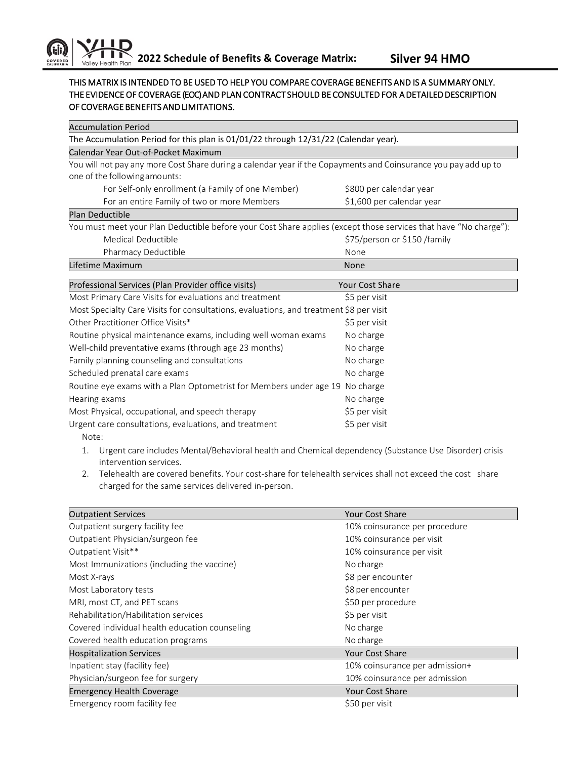## THIS MATRIX IS INTENDED TO BE USED TO HELP YOU COMPARE COVERAGE BENEFITS AND IS A SUMMARY ONLY. THE EVIDENCE OF COVERAGE (EOC) AND PLAN CONTRACT SHOULD BE CONSULTED FOR A DETAILED DESCRIPTION OF COVERAGE BENEFITS AND LIMITATIONS.

| <b>Accumulation Period</b>                                                                                       |                             |  |
|------------------------------------------------------------------------------------------------------------------|-----------------------------|--|
| The Accumulation Period for this plan is 01/01/22 through 12/31/22 (Calendar year).                              |                             |  |
| Calendar Year Out-of-Pocket Maximum                                                                              |                             |  |
| You will not pay any more Cost Share during a calendar year if the Copayments and Coinsurance you pay add up to  |                             |  |
| one of the following amounts:                                                                                    |                             |  |
| For Self-only enrollment (a Family of one Member)                                                                | \$800 per calendar year     |  |
| For an entire Family of two or more Members                                                                      | \$1,600 per calendar year   |  |
| <b>Plan Deductible</b>                                                                                           |                             |  |
| You must meet your Plan Deductible before your Cost Share applies (except those services that have "No charge"): |                             |  |
| Medical Deductible                                                                                               | \$75/person or \$150/family |  |
| Pharmacy Deductible                                                                                              | None                        |  |
| Lifetime Maximum                                                                                                 | None                        |  |
| Professional Services (Plan Provider office visits)                                                              | <b>Your Cost Share</b>      |  |
| Most Primary Care Visits for evaluations and treatment                                                           | \$5 per visit               |  |
| Most Specialty Care Visits for consultations, evaluations, and treatment \$8 per visit                           |                             |  |
|                                                                                                                  |                             |  |
| Other Practitioner Office Visits*                                                                                | \$5 per visit               |  |
| Routine physical maintenance exams, including well woman exams                                                   | No charge                   |  |
| Well-child preventative exams (through age 23 months)                                                            | No charge                   |  |
| Family planning counseling and consultations                                                                     | No charge                   |  |
| Scheduled prenatal care exams                                                                                    | No charge                   |  |
| Routine eye exams with a Plan Optometrist for Members under age 19                                               | No charge                   |  |
| Hearing exams                                                                                                    | No charge                   |  |
| Most Physical, occupational, and speech therapy                                                                  | \$5 per visit               |  |
| Urgent care consultations, evaluations, and treatment                                                            | \$5 per visit               |  |

- 1. Urgent care includes Mental/Behavioral health and Chemical dependency (Substance Use Disorder) crisis intervention services.
- 2. Telehealth are covered benefits. Your cost-share for telehealth services shall not exceed the cost share charged for the same services delivered in-person.

| <b>Outpatient Services</b>                     | <b>Your Cost Share</b>         |
|------------------------------------------------|--------------------------------|
| Outpatient surgery facility fee                | 10% coinsurance per procedure  |
| Outpatient Physician/surgeon fee               | 10% coinsurance per visit      |
| Outpatient Visit**                             | 10% coinsurance per visit      |
| Most Immunizations (including the vaccine)     | No charge                      |
| Most X-rays                                    | \$8 per encounter              |
| Most Laboratory tests                          | \$8 per encounter              |
| MRI, most CT, and PET scans                    | \$50 per procedure             |
| Rehabilitation/Habilitation services           | \$5 per visit                  |
| Covered individual health education counseling | No charge                      |
| Covered health education programs              | No charge                      |
| <b>Hospitalization Services</b>                | <b>Your Cost Share</b>         |
| Inpatient stay (facility fee)                  | 10% coinsurance per admission+ |
| Physician/surgeon fee for surgery              | 10% coinsurance per admission  |
| <b>Emergency Health Coverage</b>               | Your Cost Share                |
| Emergency room facility fee                    | \$50 per visit                 |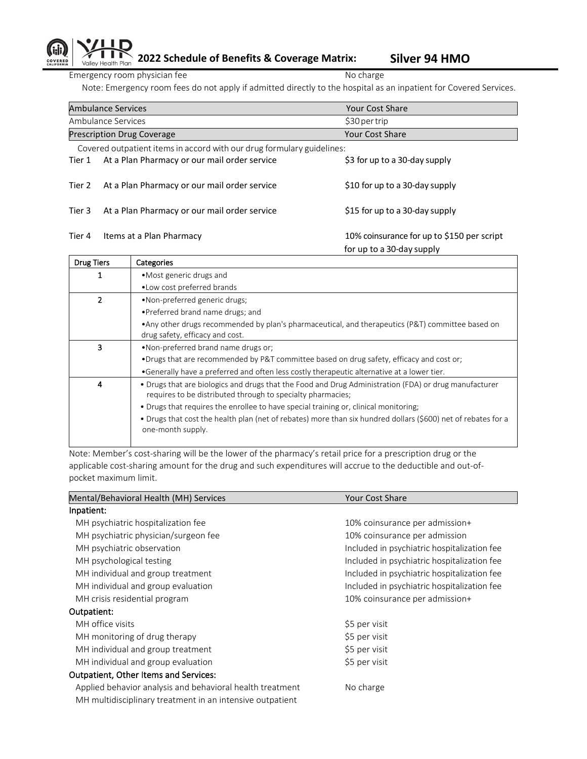## **2022 Schedule of Benefits & Coverage Matrix: Silver 94 HMO** Valley Health Plan

Emergency room physician fee No charge No charge

Note: Emergency room fees do not apply if admitted directly to the hospital as an inpatient for Covered Services.

|                                                                        | <b>Ambulance Services</b>                    | <b>Your Cost Share</b>                                                  |
|------------------------------------------------------------------------|----------------------------------------------|-------------------------------------------------------------------------|
| Ambulance Services                                                     |                                              | \$30 per trip                                                           |
| <b>Prescription Drug Coverage</b>                                      |                                              | Your Cost Share                                                         |
| Covered outpatient items in accord with our drug formulary guidelines: |                                              |                                                                         |
| Tier 1                                                                 | At a Plan Pharmacy or our mail order service | \$3 for up to a 30-day supply                                           |
| Tier 2                                                                 | At a Plan Pharmacy or our mail order service | \$10 for up to a 30-day supply                                          |
| Tier 3                                                                 | At a Plan Pharmacy or our mail order service | \$15 for up to a 30-day supply                                          |
| Tier 4                                                                 | Items at a Plan Pharmacy                     | 10% coinsurance for up to \$150 per script<br>for up to a 30-day supply |

| <b>Drug Tiers</b> | Categories                                                                                                                                                           |
|-------------------|----------------------------------------------------------------------------------------------------------------------------------------------------------------------|
|                   | • Most generic drugs and                                                                                                                                             |
|                   | • Low cost preferred brands                                                                                                                                          |
|                   | •Non-preferred generic drugs;                                                                                                                                        |
|                   | • Preferred brand name drugs; and                                                                                                                                    |
|                   | • Any other drugs recommended by plan's pharmaceutical, and therapeutics (P&T) committee based on<br>drug safety, efficacy and cost.                                 |
| 3                 | •Non-preferred brand name drugs or:                                                                                                                                  |
|                   | •Drugs that are recommended by P&T committee based on drug safety, efficacy and cost or;                                                                             |
|                   | •Generally have a preferred and often less costly therapeutic alternative at a lower tier.                                                                           |
| 4                 | • Drugs that are biologics and drugs that the Food and Drug Administration (FDA) or drug manufacturer<br>requires to be distributed through to specialty pharmacies; |
|                   | • Drugs that requires the enrollee to have special training or, clinical monitoring;                                                                                 |
|                   | • Drugs that cost the health plan (net of rebates) more than six hundred dollars (\$600) net of rebates for a<br>one-month supply.                                   |
|                   |                                                                                                                                                                      |

Note: Member's cost-sharing will be the lower of the pharmacy's retail price for a prescription drug or the applicable cost-sharing amount for the drug and such expenditures will accrue to the deductible and out-ofpocket maximum limit.

| Mental/Behavioral Health (MH) Services                    | <b>Your Cost Share</b>                      |
|-----------------------------------------------------------|---------------------------------------------|
| Inpatient:                                                |                                             |
| MH psychiatric hospitalization fee                        | 10% coinsurance per admission+              |
| MH psychiatric physician/surgeon fee                      | 10% coinsurance per admission               |
| MH psychiatric observation                                | Included in psychiatric hospitalization fee |
| MH psychological testing                                  | Included in psychiatric hospitalization fee |
| MH individual and group treatment                         | Included in psychiatric hospitalization fee |
| MH individual and group evaluation                        | Included in psychiatric hospitalization fee |
| MH crisis residential program                             | 10% coinsurance per admission+              |
| Outpatient:                                               |                                             |
| MH office visits                                          | \$5 per visit                               |
| MH monitoring of drug therapy                             | \$5 per visit                               |
| MH individual and group treatment                         | \$5 per visit                               |
| MH individual and group evaluation                        | \$5 per visit                               |
| <b>Outpatient, Other Items and Services:</b>              |                                             |
| Applied behavior analysis and behavioral health treatment | No charge                                   |
| MH multidisciplinary treatment in an intensive outpatient |                                             |
|                                                           |                                             |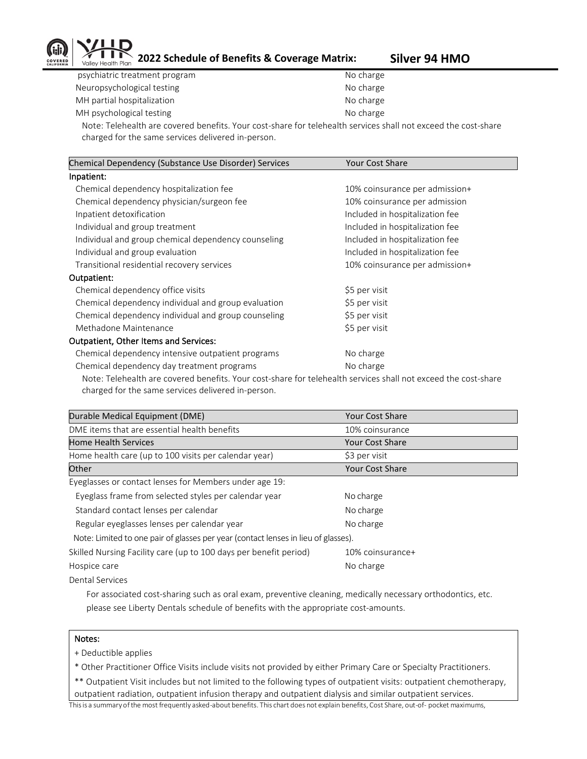

**2022 Schedule of Benefits & Coverage Matrix: Silver 94 HMO**

psychiatric treatment program No charge Neuropsychological testing No charge No charge MH partial hospitalization No charge MH psychological testing No charge No charge

Note: Telehealth are covered benefits. Your cost-share for telehealth services shall not exceed the cost-share charged for the same services delivered in-person.

| Chemical Dependency (Substance Use Disorder) Services                                                         | <b>Your Cost Share</b>          |
|---------------------------------------------------------------------------------------------------------------|---------------------------------|
| Inpatient:                                                                                                    |                                 |
| Chemical dependency hospitalization fee                                                                       | 10% coinsurance per admission+  |
| Chemical dependency physician/surgeon fee                                                                     | 10% coinsurance per admission   |
| Inpatient detoxification                                                                                      | Included in hospitalization fee |
| Individual and group treatment                                                                                | Included in hospitalization fee |
| Individual and group chemical dependency counseling                                                           | Included in hospitalization fee |
| Individual and group evaluation                                                                               | Included in hospitalization fee |
| Transitional residential recovery services                                                                    | 10% coinsurance per admission+  |
| Outpatient:                                                                                                   |                                 |
| Chemical dependency office visits                                                                             | \$5 per visit                   |
| Chemical dependency individual and group evaluation                                                           | \$5 per visit                   |
| Chemical dependency individual and group counseling                                                           | \$5 per visit                   |
| Methadone Maintenance                                                                                         | \$5 per visit                   |
| <b>Outpatient, Other Items and Services:</b>                                                                  |                                 |
| Chemical dependency intensive outpatient programs                                                             | No charge                       |
| Chemical dependency day treatment programs                                                                    | No charge                       |
| Note: Telebealth are covered benefits Your cost-share for telebealth services shall not exceed the cost-share |                                 |

Note: Telehealth are covered benefits. Your cost-share for telehealth services shall not exceed the cost-share charged for the same services delivered in-person.

| Durable Medical Equipment (DME)                                                    | <b>Your Cost Share</b> |
|------------------------------------------------------------------------------------|------------------------|
| DME items that are essential health benefits                                       | 10% coinsurance        |
| <b>Home Health Services</b>                                                        | <b>Your Cost Share</b> |
| Home health care (up to 100 visits per calendar year)                              | \$3 per visit          |
| Other                                                                              | <b>Your Cost Share</b> |
| Eyeglasses or contact lenses for Members under age 19:                             |                        |
| Eyeglass frame from selected styles per calendar year                              | No charge              |
| Standard contact lenses per calendar                                               | No charge              |
| Regular eyeglasses lenses per calendar year                                        | No charge              |
| Note: Limited to one pair of glasses per year (contact lenses in lieu of glasses). |                        |
| Skilled Nursing Facility care (up to 100 days per benefit period)                  | 10% coinsurance+       |
| Hospice care                                                                       | No charge              |
| Dental Services                                                                    |                        |

 For associated cost-sharing such as oral exam, preventive cleaning, medically necessary orthodontics, etc. please see Liberty Dentals schedule of benefits with the appropriate cost-amounts.

## Notes:

+ Deductible applies

\* Other Practitioner Office Visits include visits not provided by either Primary Care or Specialty Practitioners.

\*\* Outpatient Visit includes but not limited to the following types of outpatient visits: outpatient chemotherapy, outpatient radiation, outpatient infusion therapy and outpatient dialysis and similar outpatient services.

Thisis a summaryofthe most frequently asked-about benefits. This chart does not explain benefits, Cost Share, out-of- pocket maximums,